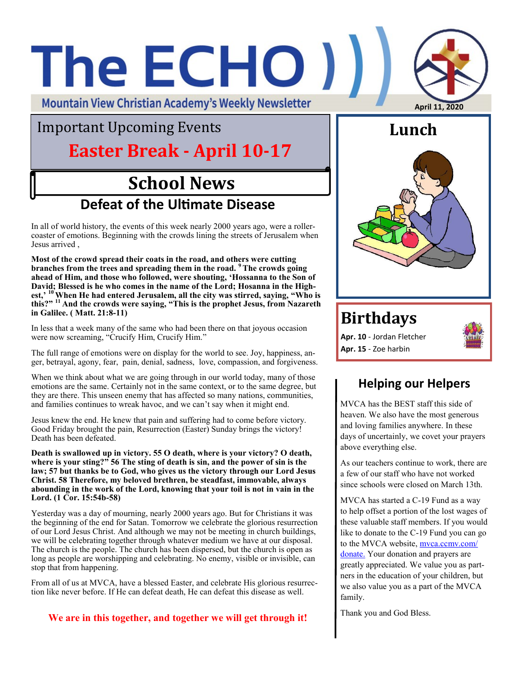# The ECHO ) **April 11, 2020**

**Mountain View Christian Academy's Weekly Newsletter** 

## Important Upcoming Events

## **Easter Break - April 10-17**

## **School News Defeat of the Ultimate Disease**

In all of world history, the events of this week nearly 2000 years ago, were a rollercoaster of emotions. Beginning with the crowds lining the streets of Jerusalem when Jesus arrived ,

**Most of the crowd spread their coats in the road, and others were cutting branches from the trees and spreading them in the road. <sup>9</sup> The crowds going ahead of Him, and those who followed, were shouting, 'Hossanna to the Son of David; Blessed is he who comes in the name of the Lord; Hosanna in the Highest,' <sup>10</sup>When He had entered Jerusalem, all the city was stirred, saying, "Who is this?" <sup>11</sup> And the crowds were saying, "This is the prophet Jesus, from Nazareth in Galilee. ( Matt. 21:8-11)**

In less that a week many of the same who had been there on that joyous occasion were now screaming, "Crucify Him, Crucify Him."

The full range of emotions were on display for the world to see. Joy, happiness, anger, betrayal, agony, fear, pain, denial, sadness, love, compassion, and forgiveness.

When we think about what we are going through in our world today, many of those emotions are the same. Certainly not in the same context, or to the same degree, but they are there. This unseen enemy that has affected so many nations, communities, and families continues to wreak havoc, and we can't say when it might end.

Jesus knew the end. He knew that pain and suffering had to come before victory. Good Friday brought the pain, Resurrection (Easter) Sunday brings the victory! Death has been defeated.

**Death is swallowed up in victory. 55 O death, where is your victory? O death, where is your sting?" 56 The sting of death is sin, and the power of sin is the law; 57 but thanks be to God, who gives us the victory through our Lord Jesus Christ. 58 Therefore, my beloved brethren, be steadfast, immovable, always abounding in the work of the Lord, knowing that your toil is not in vain in the Lord. (1 Cor. 15:54b-58)**

Yesterday was a day of mourning, nearly 2000 years ago. But for Christians it was the beginning of the end for Satan. Tomorrow we celebrate the glorious resurrection of our Lord Jesus Christ. And although we may not be meeting in church buildings, we will be celebrating together through whatever medium we have at our disposal. The church is the people. The church has been dispersed, but the church is open as long as people are worshipping and celebrating. No enemy, visible or invisible, can stop that from happening.

From all of us at MVCA, have a blessed Easter, and celebrate His glorious resurrection like never before. If He can defeat death, He can defeat this disease as well.

**We are in this together, and together we will get through it!** 



#### **Birthdays**

**Apr. 10** - Jordan Fletcher **Apr. 15** - Zoe harbin



#### **Helping our Helpers**

MVCA has the BEST staff this side of heaven. We also have the most generous and loving families anywhere. In these days of uncertainly, we covet your prayers above everything else.

As our teachers continue to work, there are a few of our staff who have not worked since schools were closed on March 13th.

MVCA has started a C-19 Fund as a way to help offset a portion of the lost wages of these valuable staff members. If you would like to donate to the C-19 Fund you can go to the MVCA website, [mvca.ccmv.com/](http://mvca.ccmv.com/donate) [donate.](http://mvca.ccmv.com/donate) Your donation and prayers are greatly appreciated. We value you as partners in the education of your children, but we also value you as a part of the MVCA family.

Thank you and God Bless.